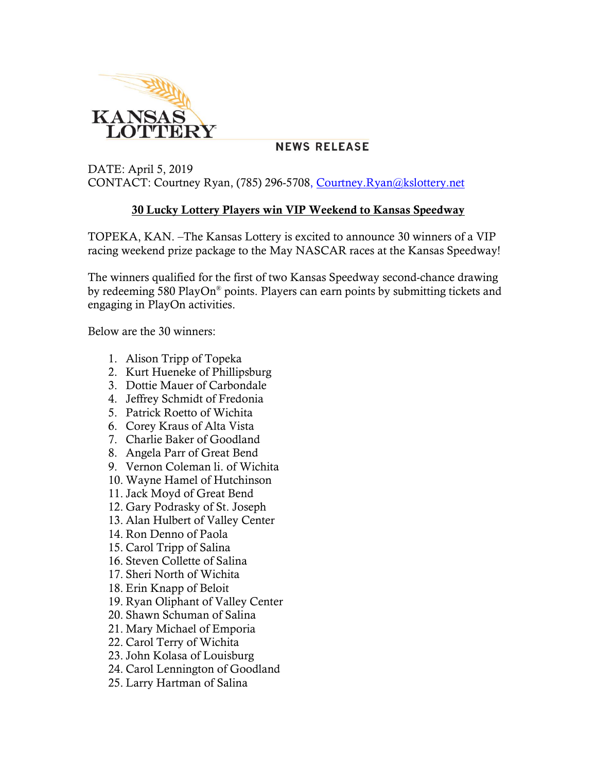

## **NEWS RELEASE**

## DATE: April 5, 2019 CONTACT: Courtney Ryan, (785) 296-5708, [Courtney.Ryan@kslottery.net](mailto:Courtney.Ryan@kslottery.net)

## **30 Lucky Lottery Players win VIP Weekend to Kansas Speedway**

TOPEKA, KAN. –The Kansas Lottery is excited to announce 30 winners of a VIP racing weekend prize package to the May NASCAR races at the Kansas Speedway!

The winners qualified for the first of two Kansas Speedway second-chance drawing by redeeming 580 PlayOn® points. Players can earn points by submitting tickets and engaging in PlayOn activities.

Below are the 30 winners:

- 1. Alison Tripp of Topeka
- 2. Kurt Hueneke of Phillipsburg
- 3. Dottie Mauer of Carbondale
- 4. Jeffrey Schmidt of Fredonia
- 5. Patrick Roetto of Wichita
- 6. Corey Kraus of Alta Vista
- 7. Charlie Baker of Goodland
- 8. Angela Parr of Great Bend
- 9. Vernon Coleman li. of Wichita
- 10. Wayne Hamel of Hutchinson
- 11. Jack Moyd of Great Bend
- 12. Gary Podrasky of St. Joseph
- 13. Alan Hulbert of Valley Center
- 14. Ron Denno of Paola
- 15. Carol Tripp of Salina
- 16. Steven Collette of Salina
- 17. Sheri North of Wichita
- 18. Erin Knapp of Beloit
- 19. Ryan Oliphant of Valley Center
- 20. Shawn Schuman of Salina
- 21. Mary Michael of Emporia
- 22. Carol Terry of Wichita
- 23. John Kolasa of Louisburg
- 24. Carol Lennington of Goodland
- 25. Larry Hartman of Salina